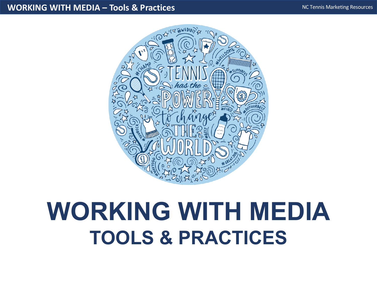#### **WORKING WITH MEDIA – Tools & Practices**



# **WORKING WITH MEDIA TOOLS & PRACTICES**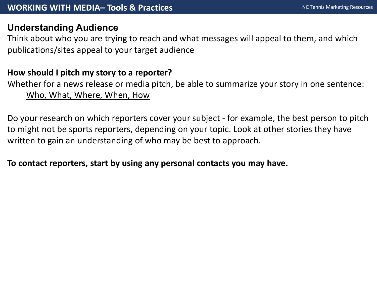## **Understanding Audience**

Think about who you are trying to reach and what messages will appeal to them, and which publications/sites appeal to your target audience

## **How should I pitch my story to a reporter?**

Whether for a news release or media pitch, be able to summarize your story in one sentence: Who, What, Where, When, How

Do your research on which reporters cover your subject - for example, the best person to pitch to might not be sports reporters, depending on your topic. Look at other stories they have written to gain an understanding of who may be best to approach.

## **To contact reporters, start by using any personal contacts you may have.**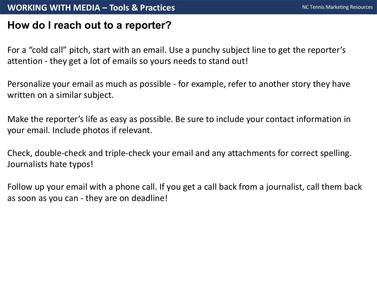#### **WORKING WITH MEDIA – Tools & Practices**

## **How do I reach out to a reporter?**

For a "cold call" pitch, start with an email. Use a punchy subject line to get the reporter's attention - they get a lot of emails so yours needs to stand out!

Personalize your email as much as possible - for example, refer to another story they have written on a similar subject.

Make the reporter's life as easy as possible. Be sure to include your contact information in your email. Include photos if relevant.

Check, double-check and triple-check your email and any attachments for correct spelling. Journalists hate typos!

Follow up your email with a phone call. If you get a call back from a journalist, call them back as soon as you can - they are on deadline!